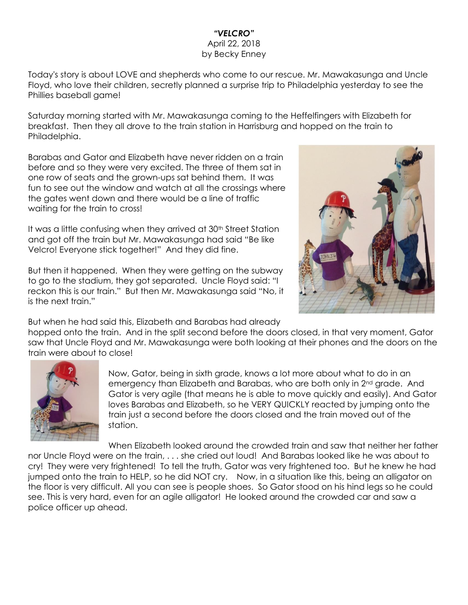## *"VELCRO"* April 22, 2018 by Becky Enney

Today's story is about LOVE and shepherds who come to our rescue. Mr. Mawakasunga and Uncle Floyd, who love their children, secretly planned a surprise trip to Philadelphia yesterday to see the Phillies baseball game!

Saturday morning started with Mr. Mawakasunga coming to the Heffelfingers with Elizabeth for breakfast. Then they all drove to the train station in Harrisburg and hopped on the train to Philadelphia.

Barabas and Gator and Elizabeth have never ridden on a train before and so they were very excited. The three of them sat in one row of seats and the grown-ups sat behind them. It was fun to see out the window and watch at all the crossings where the gates went down and there would be a line of traffic waiting for the train to cross!

It was a little confusing when they arrived at 30<sup>th</sup> Street Station and got off the train but Mr. Mawakasunga had said "Be like Velcro! Everyone stick together!" And they did fine.

But then it happened. When they were getting on the subway to go to the stadium, they got separated. Uncle Floyd said: "I reckon this is our train." But then Mr. Mawakasunga said "No, it is the next train."



But when he had said this, Elizabeth and Barabas had already

hopped onto the train. And in the split second before the doors closed, in that very moment, Gator saw that Uncle Floyd and Mr. Mawakasunga were both looking at their phones and the doors on the train were about to close!



Now, Gator, being in sixth grade, knows a lot more about what to do in an emergency than Elizabeth and Barabas, who are both only in 2<sup>nd</sup> grade. And Gator is very agile (that means he is able to move quickly and easily). And Gator loves Barabas and Elizabeth, so he VERY QUICKLY reacted by jumping onto the train just a second before the doors closed and the train moved out of the station.

When Elizabeth looked around the crowded train and saw that neither her father nor Uncle Floyd were on the train, . . . she cried out loud! And Barabas looked like he was about to cry! They were very frightened! To tell the truth, Gator was very frightened too. But he knew he had jumped onto the train to HELP, so he did NOT cry. Now, in a situation like this, being an alligator on the floor is very difficult. All you can see is people shoes. So Gator stood on his hind legs so he could see. This is very hard, even for an agile alligator! He looked around the crowded car and saw a police officer up ahead.